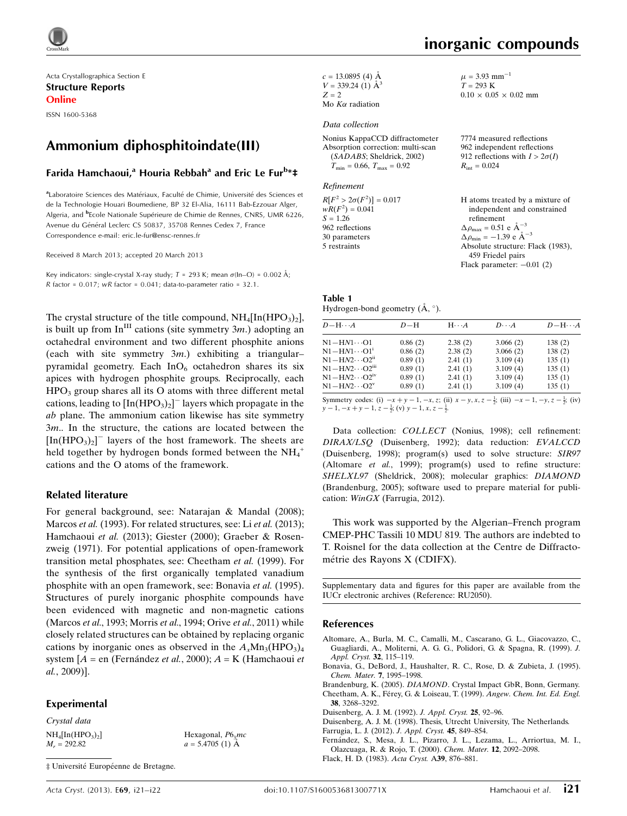

Acta Crystallographica Section E Structure Reports Online

ISSN 1600-5368

# Ammonium diphosphitoindate(III)

## Farida Hamchaoui,<sup>a</sup> Houria Rebbah<sup>a</sup> and Eric Le Fur<sup>b</sup>\*‡

aLaboratoire Sciences des Matériaux, Faculté de Chimie, Université des Sciences et de la Technologie Houari Boumediene, BP 32 El-Alia, 16111 Bab-Ezzouar Alger, Algeria, and <sup>b</sup>Ecole Nationale Supérieure de Chimie de Rennes, CNRS, UMR 6226, Avenue du Général Leclerc CS 50837, 35708 Rennes Cedex 7, France Correspondence e-mail: [eric.le-fur@ensc-rennes.fr](https://scripts.iucr.org/cgi-bin/cr.cgi?rm=pdfbb&cnor=ru2050&bbid=BB21)

Received 8 March 2013; accepted 20 March 2013

Key indicators: single-crystal X-ray study;  $T$  = 293 K; mean  $\sigma$ (ln–O) = 0.002 Å;  $R$  factor = 0.017;  $wR$  factor = 0.041; data-to-parameter ratio = 32.1.

The crystal structure of the title compound,  $NH_4[In(HPO_3)_2]$ , is built up from  $In<sup>III</sup>$  cations (site symmetry 3*m*.) adopting an octahedral environment and two different phosphite anions (each with site symmetry  $3m$ .) exhibiting a triangular– pyramidal geometry. Each  $InO<sub>6</sub>$  octahedron shares its six apices with hydrogen phosphite groups. Reciprocally, each  $HPO<sub>3</sub>$  group shares all its O atoms with three different metal cations, leading to  $[\text{In}(\text{HPO}_3)_2]$ <sup>-</sup> layers which propagate in the ab plane. The ammonium cation likewise has site symmetry 3m.. In the structure, the cations are located between the  $[In(HPO<sub>3</sub>)<sub>2</sub>]$ <sup>-</sup> layers of the host framework. The sheets are held together by hydrogen bonds formed between the  $NH_4^+$ cations and the O atoms of the framework.

#### Related literature

For general background, see: Natarajan & Mandal (2008); Marcos et al. (1993). For related structures, see: Li et al. (2013); Hamchaoui et al. (2013); Giester (2000); Graeber & Rosenzweig (1971). For potential applications of open-framework transition metal phosphates, see: Cheetham et al. (1999). For the synthesis of the first organically templated vanadium phosphite with an open framework, see: Bonavia et al. (1995). Structures of purely inorganic phosphite compounds have been evidenced with magnetic and non-magnetic cations (Marcos *et al.*, 1993; Morris *et al.*, 1994; Orive *et al.*, 2011) while closely related structures can be obtained by replacing organic cations by inorganic ones as observed in the  $A_xMn_3(HPO_3)_4$ system  $[A = en$  (Fernández et al., 2000);  $A = K$  (Hamchaoui et al., 2009)].

#### Experimental

Crystal data  $NH_4[In(HPO<sub>3</sub>)<sub>2</sub>]$  $M_r = 292.82$ 

Hexagonal,  $P6<sub>3</sub>mc$  $a = 5.4705$  (1) Å

 $\ddagger$  Université Européenne de Bretagne.

 $c = 13.0895$  (4) Å  $V = 339.24$  (1)  $\AA^3$  $Z = 2$ Mo  $K\alpha$  radiation

#### Data collection

Nonius KappaCCD diffractometer Absorption correction: multi-scan (SADABS; Sheldrick, 2002)  $T_{\text{min}} = 0.66$ ,  $T_{\text{max}} = 0.92$ 

#### Refinement

 $R[F^2 > 2\sigma(F^2)] = 0.017$  $wR(F^2) = 0.041$  $S = 1.26$ 962 reflections 30 parameters 5 restraints H atoms treated by a mixture of independent and constrained refinement  $\Delta \rho_{\text{max}} = 0.51 \text{ e A}^{-}$  $\Delta \rho_{\text{min}} = -1.39 \text{ e A}^{-3}$ Absolute structure: Flack (1983), 459 Friedel pairs

Table 1 Hydrogen-bond geometry  $(\AA, \degree)$ .

| $D - H \cdots A$                   | $D-H$   | $H \cdot \cdot \cdot A$ | $D \cdot \cdot \cdot A$ | $D - H \cdots A$ |
|------------------------------------|---------|-------------------------|-------------------------|------------------|
| $N1 - HN1 \cdots 01$               | 0.86(2) | 2.38(2)                 | 3.066(2)                | 138(2)           |
| $N1 - H N1 \cdots O1$ <sup>1</sup> | 0.86(2) | 2.38(2)                 | 3.066(2)                | 138(2)           |
| $N1 - HN2 \cdots O2^n$             | 0.89(1) | 2.41(1)                 | 3.109(4)                | 135(1)           |
| $N1 - HN2 \cdots O2m$              | 0.89(1) | 2.41(1)                 | 3.109(4)                | 135(1)           |
| $N1 - HN2 \cdots O2^{IV}$          | 0.89(1) | 2.41(1)                 | 3.109(4)                | 135(1)           |
| $N1 - HN2 \cdots O2^v$             | 0.89(1) | 2.41(1)                 | 3.109(4)                | 135(1)           |
|                                    |         |                         |                         |                  |

Symmetry codes: (i)  $-x + y - 1, -x, z$ ; (ii)  $x - y, x, z - \frac{1}{2}$ ; (iii)  $-x - 1, -y, z - \frac{1}{2}$ ; (iv)  $y-1, -x+y-1, z-\frac{1}{2}$ ; (v)  $y-1, x, z-\frac{1}{2}$ .

Data collection: COLLECT (Nonius, 1998); cell refinement: DIRAX/LSQ (Duisenberg, 1992); data reduction: EVALCCD (Duisenberg, 1998); program(s) used to solve structure: SIR97 (Altomare *et al.*, 1999); program(s) used to refine structure: SHELXL97 (Sheldrick, 2008); molecular graphics: DIAMOND (Brandenburg, 2005); software used to prepare material for publication: WinGX (Farrugia, 2012).

This work was supported by the Algerian–French program CMEP-PHC Tassili 10 MDU 819. The authors are indebted to T. Roisnel for the data collection at the Centre de Diffractométrie des Rayons X (CDIFX).

Supplementary data and figures for this paper are available from the IUCr electronic archives (Reference: RU2050).

#### References

- [Altomare, A., Burla, M. C., Camalli, M., Cascarano, G. L., Giacovazzo, C.,](https://scripts.iucr.org/cgi-bin/cr.cgi?rm=pdfbb&cnor=ru2050&bbid=BB1) [Guagliardi, A., Moliterni, A. G. G., Polidori, G. & Spagna, R. \(1999\).](https://scripts.iucr.org/cgi-bin/cr.cgi?rm=pdfbb&cnor=ru2050&bbid=BB1) J. [Appl. Cryst.](https://scripts.iucr.org/cgi-bin/cr.cgi?rm=pdfbb&cnor=ru2050&bbid=BB1) 32, 115-119.
- [Bonavia, G., DeBord, J., Haushalter, R. C., Rose, D. & Zubieta, J. \(1995\).](https://scripts.iucr.org/cgi-bin/cr.cgi?rm=pdfbb&cnor=ru2050&bbid=BB2) [Chem. Mater.](https://scripts.iucr.org/cgi-bin/cr.cgi?rm=pdfbb&cnor=ru2050&bbid=BB2) 7, 1995–1998.
- Brandenburg, K. (2005). DIAMOND[. Crystal Impact GbR, Bonn, Germany.](https://scripts.iucr.org/cgi-bin/cr.cgi?rm=pdfbb&cnor=ru2050&bbid=BB3) Cheetham, A. K., Férey, G. & Loiseau, T. (1999). Angew. Chem. Int. Ed. Engl. 38[, 3268–3292.](https://scripts.iucr.org/cgi-bin/cr.cgi?rm=pdfbb&cnor=ru2050&bbid=BB5)
- [Duisenberg, A. J. M. \(1992\).](https://scripts.iucr.org/cgi-bin/cr.cgi?rm=pdfbb&cnor=ru2050&bbid=BB6) J. Appl. Cryst. 25, 92–96.
- [Duisenberg, A. J. M. \(1998\). Thesis, Utrecht University, The Netherlands.](https://scripts.iucr.org/cgi-bin/cr.cgi?rm=pdfbb&cnor=ru2050&bbid=BB7)
- [Farrugia, L. J. \(2012\).](https://scripts.iucr.org/cgi-bin/cr.cgi?rm=pdfbb&cnor=ru2050&bbid=BB8) J. Appl. Cryst. 45, 849–854.
- [Ferna´ndez, S., Mesa, J. L., Pizarro, J. L., Lezama, L., Arriortua, M. I.,](https://scripts.iucr.org/cgi-bin/cr.cgi?rm=pdfbb&cnor=ru2050&bbid=BB9) [Olazcuaga, R. & Rojo, T. \(2000\).](https://scripts.iucr.org/cgi-bin/cr.cgi?rm=pdfbb&cnor=ru2050&bbid=BB9) Chem. Mater. 12, 2092–2098.
- [Flack, H. D. \(1983\).](https://scripts.iucr.org/cgi-bin/cr.cgi?rm=pdfbb&cnor=ru2050&bbid=BB10) Acta Cryst. A39, 876–881.

 $0.10 \times 0.05 \times 0.02$  mm

7774 measured reflections 962 independent reflections 912 reflections with  $I > 2\sigma(I)$ 

3

Flack parameter:  $-0.01$  (2)

 $\mu = 3.93$  mm<sup>-1</sup>  $T = 293 K$ 

 $R_{\text{int}} = 0.024$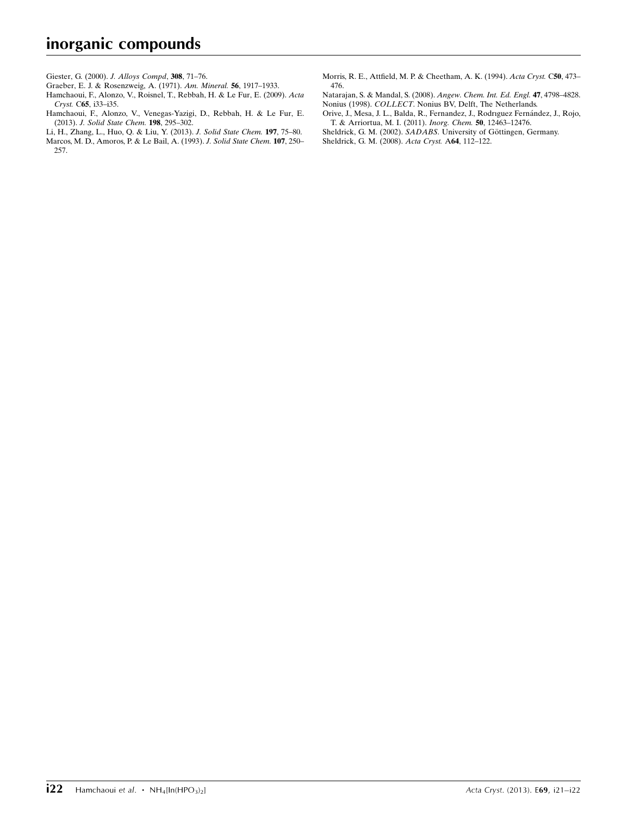[Giester, G. \(2000\).](https://scripts.iucr.org/cgi-bin/cr.cgi?rm=pdfbb&cnor=ru2050&bbid=BB11) J. Alloys Compd, 308, 71–76.

[Graeber, E. J. & Rosenzweig, A. \(1971\).](https://scripts.iucr.org/cgi-bin/cr.cgi?rm=pdfbb&cnor=ru2050&bbid=BB12) Am. Mineral. 56, 1917–1933.

[Hamchaoui, F., Alonzo, V., Roisnel, T., Rebbah, H. & Le Fur, E. \(2009\).](https://scripts.iucr.org/cgi-bin/cr.cgi?rm=pdfbb&cnor=ru2050&bbid=BB13) Acta Cryst. C65[, i33–i35.](https://scripts.iucr.org/cgi-bin/cr.cgi?rm=pdfbb&cnor=ru2050&bbid=BB13)

- [Hamchaoui, F., Alonzo, V., Venegas-Yazigi, D., Rebbah, H. & Le Fur, E.](https://scripts.iucr.org/cgi-bin/cr.cgi?rm=pdfbb&cnor=ru2050&bbid=BB14) (2013). [J. Solid State Chem.](https://scripts.iucr.org/cgi-bin/cr.cgi?rm=pdfbb&cnor=ru2050&bbid=BB14) 198, 295–302.
- [Li, H., Zhang, L., Huo, Q. & Liu, Y. \(2013\).](https://scripts.iucr.org/cgi-bin/cr.cgi?rm=pdfbb&cnor=ru2050&bbid=BB15) J. Solid State Chem. 197, 75–80. [Marcos, M. D., Amoros, P. & Le Bail, A. \(1993\).](https://scripts.iucr.org/cgi-bin/cr.cgi?rm=pdfbb&cnor=ru2050&bbid=BB16) J. Solid State Chem. 107, 250– [257.](https://scripts.iucr.org/cgi-bin/cr.cgi?rm=pdfbb&cnor=ru2050&bbid=BB16)

[Morris, R. E., Attfield, M. P. & Cheetham, A. K. \(1994\).](https://scripts.iucr.org/cgi-bin/cr.cgi?rm=pdfbb&cnor=ru2050&bbid=BB17) Acta Cryst. C50, 473– [476.](https://scripts.iucr.org/cgi-bin/cr.cgi?rm=pdfbb&cnor=ru2050&bbid=BB17)

[Natarajan, S. & Mandal, S. \(2008\).](https://scripts.iucr.org/cgi-bin/cr.cgi?rm=pdfbb&cnor=ru2050&bbid=BB18) Angew. Chem. Int. Ed. Engl. 47, 4798–4828. Nonius (1998). COLLECT[. Nonius BV, Delft, The Netherlands.](https://scripts.iucr.org/cgi-bin/cr.cgi?rm=pdfbb&cnor=ru2050&bbid=BB19)

Orive, J., Mesa, J. L., Balda, R., Fernandez, J., Rodrıguez Fernández, J., Rojo, [T. & Arriortua, M. I. \(2011\).](https://scripts.iucr.org/cgi-bin/cr.cgi?rm=pdfbb&cnor=ru2050&bbid=BB20) Inorg. Chem. 50, 12463–12476.

- Sheldrick, G. M. (2002). SADABS. University of Göttingen, Germany.
- [Sheldrick, G. M. \(2008\).](https://scripts.iucr.org/cgi-bin/cr.cgi?rm=pdfbb&cnor=ru2050&bbid=BB21) Acta Cryst. A64, 112–122.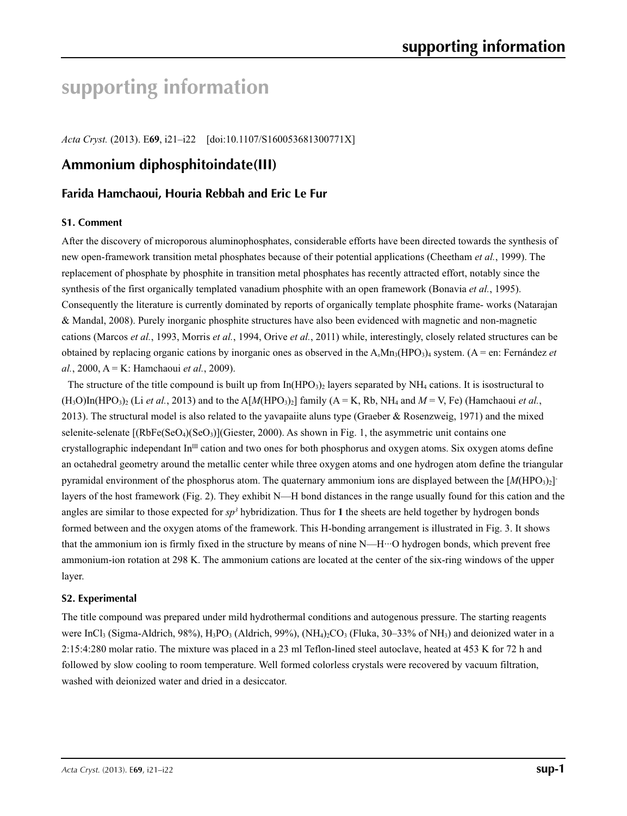# **supporting information**

*Acta Cryst.* (2013). E**69**, i21–i22 [doi:10.1107/S160053681300771X]

# **Ammonium diphosphitoindate(III)**

## **Farida Hamchaoui, Houria Rebbah and Eric Le Fur**

#### **S1. Comment**

After the discovery of microporous aluminophosphates, considerable efforts have been directed towards the synthesis of new open-framework transition metal phosphates because of their potential applications (Cheetham *et al.*, 1999). The replacement of phosphate by phosphite in transition metal phosphates has recently attracted effort, notably since the synthesis of the first organically templated vanadium phosphite with an open framework (Bonavia *et al.*, 1995). Consequently the literature is currently dominated by reports of organically template phosphite frame- works (Natarajan & Mandal, 2008). Purely inorganic phosphite structures have also been evidenced with magnetic and non-magnetic cations (Marcos *et al.*, 1993, Morris *et al.*, 1994, Orive *et al.*, 2011) while, interestingly, closely related structures can be obtained by replacing organic cations by inorganic ones as observed in the A*x*Mn3(HPO3)4 system. (A = en: Fernández *et al.*, 2000, A = K: Hamchaoui *et al.*, 2009).

The structure of the title compound is built up from  $In(HPO<sub>3</sub>)<sub>2</sub>$  layers separated by NH<sub>4</sub> cations. It is isostructural to  $(H_3O)$ In(HPO<sub>3</sub>)<sub>2</sub> (Li *et al.*, 2013) and to the A[M(HPO<sub>3</sub>)<sub>2</sub>] family (A = K, Rb, NH<sub>4</sub> and  $M = V$ , Fe) (Hamchaoui *et al.*, 2013). The structural model is also related to the yavapaiite aluns type (Graeber & Rosenzweig, 1971) and the mixed selenite-selenate  $[(RbFe(SeO<sub>4</sub>)(SeO<sub>3</sub>)]$ (Giester, 2000). As shown in Fig. 1, the asymmetric unit contains one crystallographic independant  $In<sup>III</sup>$  cation and two ones for both phosphorus and oxygen atoms. Six oxygen atoms define an octahedral geometry around the metallic center while three oxygen atoms and one hydrogen atom define the triangular pyramidal environment of the phosphorus atom. The quaternary ammonium ions are displayed between the  $[M(HPO<sub>3</sub>)<sub>2</sub>]$ layers of the host framework (Fig. 2). They exhibit N—H bond distances in the range usually found for this cation and the angles are similar to those expected for *sp<sup>3</sup>* hybridization. Thus for 1 the sheets are held together by hydrogen bonds formed between and the oxygen atoms of the framework. This H-bonding arrangement is illustrated in Fig. 3. It shows that the ammonium ion is firmly fixed in the structure by means of nine N—H···O hydrogen bonds, which prevent free ammonium-ion rotation at 298 K. The ammonium cations are located at the center of the six-ring windows of the upper layer.

#### **S2. Experimental**

The title compound was prepared under mild hydrothermal conditions and autogenous pressure. The starting reagents were InCl<sub>3</sub> (Sigma-Aldrich, 98%), H<sub>3</sub>PO<sub>3</sub> (Aldrich, 99%), (NH<sub>4</sub>)<sub>2</sub>CO<sub>3</sub> (Fluka, 30–33% of NH<sub>3</sub>) and deionized water in a 2:15:4:280 molar ratio. The mixture was placed in a 23 ml Teflon-lined steel autoclave, heated at 453 K for 72 h and followed by slow cooling to room temperature. Well formed colorless crystals were recovered by vacuum filtration, washed with deionized water and dried in a desiccator.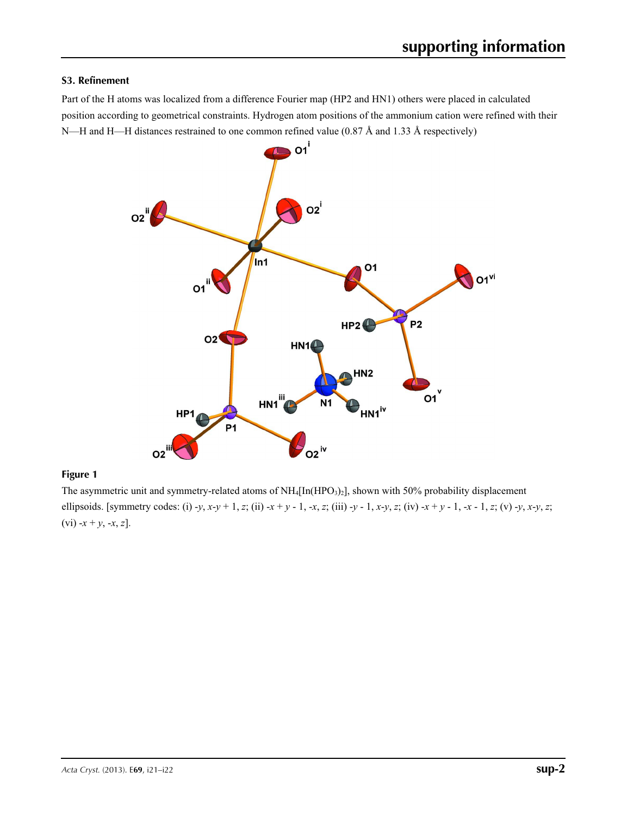#### **S3. Refinement**

Part of the H atoms was localized from a difference Fourier map (HP2 and HN1) others were placed in calculated position according to geometrical constraints. Hydrogen atom positions of the ammonium cation were refined with their N—H and H—H distances restrained to one common refined value (0.87 Å and 1.33 Å respectively)



## **Figure 1**

The asymmetric unit and symmetry-related atoms of NH<sub>4</sub>[In(HPO<sub>3</sub>)<sub>2</sub>], shown with 50% probability displacement ellipsoids. [symmetry codes: (i) -y, x-y + 1, z; (ii) -x + y - 1, -x, z; (iii) -y - 1, x-y, z; (iv) -x + y - 1, -x - 1, z; (v) -y, x-y, z;  $(vi) - x + y, -x, z].$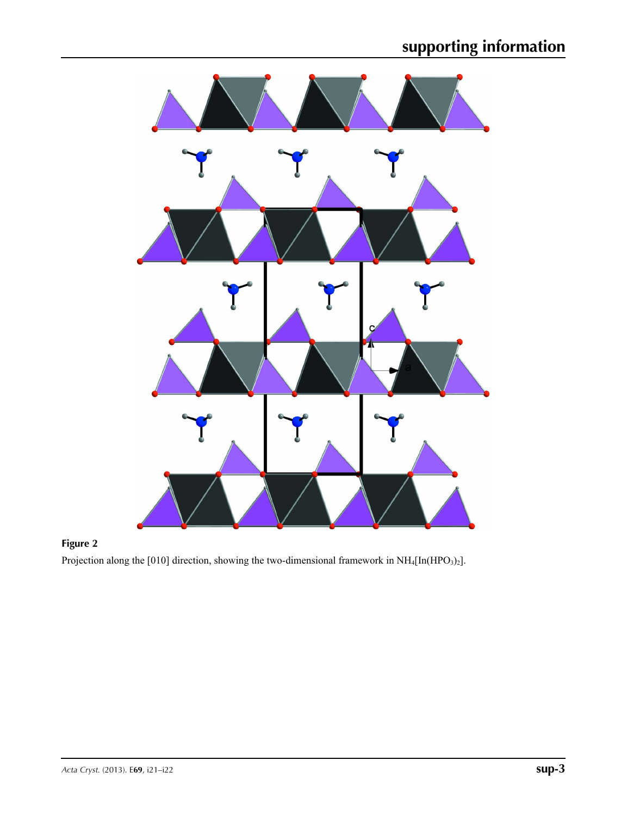

## **Figure 2**

Projection along the [010] direction, showing the two-dimensional framework in  $NH_4[In(HPO_3)_2]$ .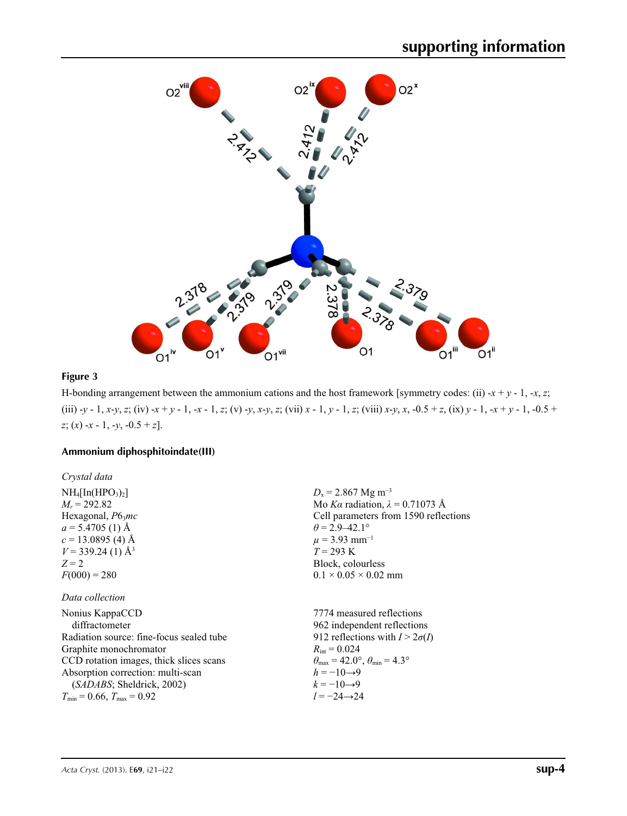

## **Figure 3**

H-bonding arrangement between the ammonium cations and the host framework [symmetry codes: (ii)  $-x + y - 1$ ,  $-x$ , *z*; (iii) -y - 1, x-y, z; (iv) -x + y - 1, -x - 1, z; (v) -y, x-y, z; (vii) x - 1, y - 1, z; (viii) x-y, x, -0.5 + z, (ix) y - 1, -x + y - 1, -0.5 + *z*; (*x*) -*x* - 1, -*y*, -0.5 + *z*].

 $D_x = 2.867$  Mg m<sup>-3</sup>

 $\theta$  = 2.9–42.1°  $\mu$  = 3.93 mm<sup>-1</sup>  $T = 293 \text{ K}$ Block, colourless  $0.1 \times 0.05 \times 0.02$  mm

Mo *Kα* radiation, *λ* = 0.71073 Å Cell parameters from 1590 reflections

## **Ammonium diphosphitoindate(III)**

| Crystal data                    |
|---------------------------------|
| $NH_4[In(HPO3)2]$               |
| $M_r = 292.82$                  |
| Hexagonal, $P6_3mc$             |
| $a = 5.4705$ (1) Å              |
| $c = 13.0895(4)$ Å              |
| $V = 339.24$ (1) Å <sup>3</sup> |
| $Z = 2$                         |
| $F(000) = 280$                  |

#### *Data collection*

| Nonius KappaCCD                          | 7774 measured reflections                                               |
|------------------------------------------|-------------------------------------------------------------------------|
| diffractometer                           | 962 independent reflections                                             |
| Radiation source: fine-focus sealed tube | 912 reflections with $I > 2\sigma(I)$                                   |
| Graphite monochromator                   | $R_{\text{int}} = 0.024$                                                |
| CCD rotation images, thick slices scans  | $\theta_{\text{max}} = 42.0^{\circ}, \theta_{\text{min}} = 4.3^{\circ}$ |
| Absorption correction: multi-scan        | $h = -10 \rightarrow 9$                                                 |
| (SADABS; Sheldrick, 2002)                | $k = -10 \rightarrow 9$                                                 |
| $T_{\min}$ = 0.66, $T_{\max}$ = 0.92     | $l = -24 \rightarrow 24$                                                |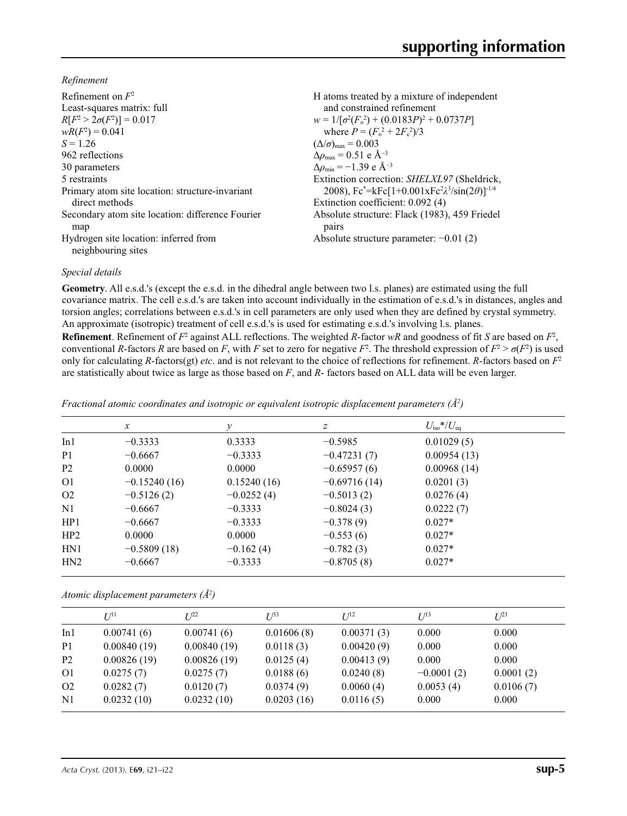*Refinement*

| Refinement on $F^2$                                         | H atoms treated by a mixture of independent                    |
|-------------------------------------------------------------|----------------------------------------------------------------|
| Least-squares matrix: full                                  | and constrained refinement                                     |
| $R[F^2 > 2\sigma(F^2)] = 0.017$                             | $w = 1/[\sigma^2(F_0^2) + (0.0183P)^2 + 0.0737P]$              |
| $wR(F^2) = 0.041$                                           | where $P = (F_0^2 + 2F_c^2)/3$                                 |
| $S = 1.26$                                                  | $(\Delta/\sigma)_{\text{max}} = 0.003$                         |
| 962 reflections                                             | $\Delta \rho_{\text{max}} = 0.51$ e Å <sup>-3</sup>            |
| 30 parameters                                               | $\Delta\rho_{\rm min} = -1.39$ e Å <sup>-3</sup>               |
| 5 restraints                                                | Extinction correction: SHELXL97 (Sheldrick,                    |
| Primary atom site location: structure-invariant             | 2008), $Fc^* = kFc[1+0.001xFc^2\lambda^3/sin(2\theta)]^{-1/4}$ |
| direct methods                                              | Extinction coefficient: 0.092 (4)                              |
| Secondary atom site location: difference Fourier<br>map     | Absolute structure: Flack (1983), 459 Friedel<br>pairs         |
| Hydrogen site location: inferred from<br>neighbouring sites | Absolute structure parameter: $-0.01$ (2)                      |

#### *Special details*

**Geometry**. All e.s.d.'s (except the e.s.d. in the dihedral angle between two l.s. planes) are estimated using the full covariance matrix. The cell e.s.d.'s are taken into account individually in the estimation of e.s.d.'s in distances, angles and torsion angles; correlations between e.s.d.'s in cell parameters are only used when they are defined by crystal symmetry. An approximate (isotropic) treatment of cell e.s.d.'s is used for estimating e.s.d.'s involving l.s. planes.

**Refinement**. Refinement of  $F^2$  against ALL reflections. The weighted R-factor wR and goodness of fit *S* are based on  $F^2$ , conventional *R*-factors *R* are based on *F*, with *F* set to zero for negative  $F^2$ . The threshold expression of  $F^2 > \sigma(F^2)$  is used only for calculating *R*-factors(gt) *etc*. and is not relevant to the choice of reflections for refinement. *R*-factors based on *F*<sup>2</sup> are statistically about twice as large as those based on *F*, and *R*- factors based on ALL data will be even larger.

| Fractional atomic coordinates and isotropic or equivalent isotropic displacement parameters $(\hat{A}^2)$ |  |  |  |
|-----------------------------------------------------------------------------------------------------------|--|--|--|
|                                                                                                           |  |  |  |

|                | $\mathcal{X}$  | ν            | Ζ              | $U_{\rm iso}*/U_{\rm eq}$ |
|----------------|----------------|--------------|----------------|---------------------------|
| In1            | $-0.3333$      | 0.3333       | $-0.5985$      | 0.01029(5)                |
| P <sub>1</sub> | $-0.6667$      | $-0.3333$    | $-0.47231(7)$  | 0.00954(13)               |
| P <sub>2</sub> | 0.0000         | 0.0000       | $-0.65957(6)$  | 0.00968(14)               |
| O <sub>1</sub> | $-0.15240(16)$ | 0.15240(16)  | $-0.69716(14)$ | 0.0201(3)                 |
| O <sub>2</sub> | $-0.5126(2)$   | $-0.0252(4)$ | $-0.5013(2)$   | 0.0276(4)                 |
| N1             | $-0.6667$      | $-0.3333$    | $-0.8024(3)$   | 0.0222(7)                 |
| HP1            | $-0.6667$      | $-0.3333$    | $-0.378(9)$    | $0.027*$                  |
| HP2            | 0.0000         | 0.0000       | $-0.553(6)$    | $0.027*$                  |
| HN1            | $-0.5809(18)$  | $-0.162(4)$  | $-0.782(3)$    | $0.027*$                  |
| HN2            | $-0.6667$      | $-0.3333$    | $-0.8705(8)$   | $0.027*$                  |

*Atomic displacement parameters (Å2 )*

|                | $U^{11}$    | I/22        | $L^{33}$   | $I^{12}$   | $I^{13}$     | $L^{23}$  |
|----------------|-------------|-------------|------------|------------|--------------|-----------|
| In1            | 0.00741(6)  | 0.00741(6)  | 0.01606(8) | 0.00371(3) | 0.000        | 0.000     |
| P <sub>1</sub> | 0.00840(19) | 0.00840(19) | 0.0118(3)  | 0.00420(9) | 0.000        | 0.000     |
| P <sub>2</sub> | 0.00826(19) | 0.00826(19) | 0.0125(4)  | 0.00413(9) | 0.000        | 0.000     |
| O <sub>1</sub> | 0.0275(7)   | 0.0275(7)   | 0.0188(6)  | 0.0240(8)  | $-0.0001(2)$ | 0.0001(2) |
| O <sub>2</sub> | 0.0282(7)   | 0.0120(7)   | 0.0374(9)  | 0.0060(4)  | 0.0053(4)    | 0.0106(7) |
| N <sub>1</sub> | 0.0232(10)  | 0.0232(10)  | 0.0203(16) | 0.0116(5)  | 0.000        | 0.000     |
|                |             |             |            |            |              |           |